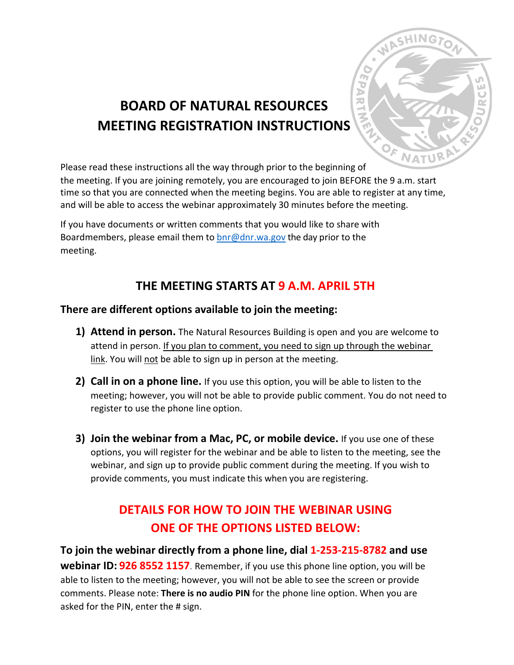

# **BOARD OF NATURAL RESOURCES MEETING REGISTRATION INSTRUCTIONS**

Please read these instructions all the way through prior to the beginning of

the meeting. If you are joining remotely, you are encouraged to join BEFORE the 9 a.m. start time so that you are connected when the meeting begins. You are able to register at any time, and will be able to access the webinar approximately 30 minutes before the meeting.

If you have documents or written comments that you would like to share with Boardmembers, please email them to  $\frac{b}{c}$  on r.wa.gov the day prior to the meeting.

## **THE MEETING STARTS AT 9 A.M. APRIL 5TH**

### **There are different options available to join the meeting:**

- **1) Attend in person.** The Natural Resources Building is open and you are welcome to attend in person. If you plan to comment, you need to sign up through the webinar link. You will not be able to sign up in person at the meeting.
- **2) Call in on a phone line.** If you use this option, you will be able to listen to the meeting; however, you will not be able to provide public comment. You do not need to register to use the phone line option.
- **3) Join the webinar from a Mac, PC, or mobile device.** If you use one of these options, you will register for the webinar and be able to listen to the meeting, see the webinar, and sign up to provide public comment during the meeting. If you wish to provide comments, you must indicate this when you are registering.

# **DETAILS FOR HOW TO JOIN THE WEBINAR USING ONE OF THE OPTIONS LISTED BELOW:**

**To join the webinar directly from a phone line, dial 1-253-215-8782 and use webinar ID: 926 8552 1157**. Remember, if you use this phone line option, you will be able to listen to the meeting; however, you will not be able to see the screen or provide comments. Please note: **There is no audio PIN** for the phone line option. When you are asked for the PIN, enter the # sign.